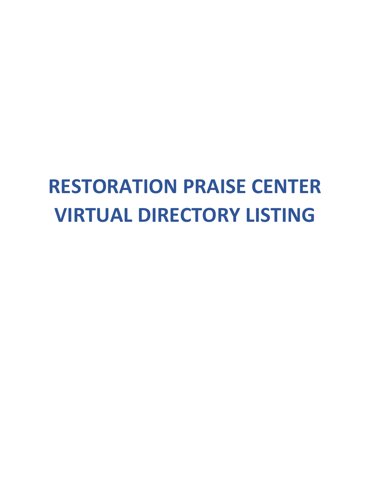# **RESTORATION PRAISE CENTER VIRTUAL!DIRECTORY!LISTING**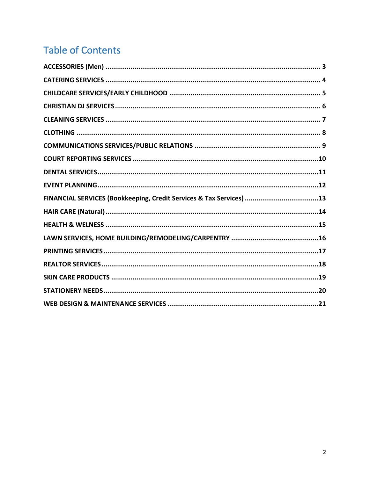## **Table of Contents**

| FINANCIAL SERVICES (Bookkeeping, Credit Services & Tax Services) 13 |  |
|---------------------------------------------------------------------|--|
|                                                                     |  |
|                                                                     |  |
|                                                                     |  |
|                                                                     |  |
|                                                                     |  |
|                                                                     |  |
|                                                                     |  |
|                                                                     |  |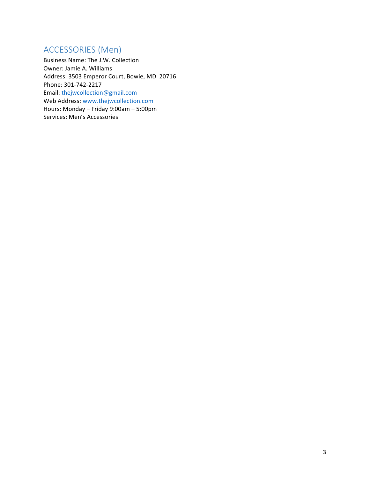### ACCESSORIES (Men)

Business Name: The J.W. Collection Owner: Jamie A. Williams Address: 3503 Emperor Court, Bowie, MD 20716 Phone: 301-742-2217 Email: thejwcollection@gmail.com Web Address: www.thejwcollection.com Hours: Monday – Friday 9:00am – 5:00pm Services: Men's Accessories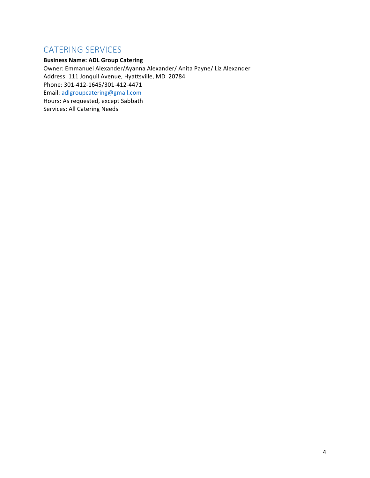### **CATERING SERVICES**

#### **Business Name: ADL Group Catering**

Owner: Emmanuel Alexander/Ayanna Alexander/ Anita Payne/ Liz Alexander Address: 111 Jonquil Avenue, Hyattsville, MD 20784 Phone: 301-412-1645/301-412-4471 Email: adlgroupcatering@gmail.com Hours: As requested, except Sabbath Services: All Catering Needs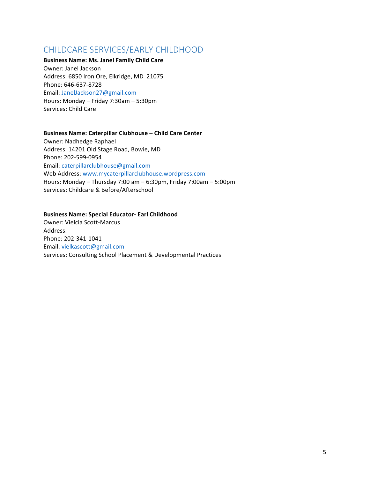### CHILDCARE SERVICES/EARLY CHILDHOOD

**Business Name: Ms. Janel Family Child Care** Owner: Janel Jackson Address: 6850 Iron Ore, Elkridge, MD 21075 Phone: 646-637-8728 Email: JanelJackson27@gmail.com Hours: Monday – Friday 7:30am – 5:30pm Services: Child Care

#### **Business Name: Caterpillar Clubhouse – Child Care Center**

Owner: Nadhedge Raphael Address: 14201 Old Stage Road, Bowie, MD Phone: 202-599-0954 Email: caterpillarclubhouse@gmail.com Web Address: www.mycaterpillarclubhouse.wordpress.com Hours: Monday – Thursday 7:00 am – 6:30pm, Friday 7:00am – 5:00pm Services: Childcare & Before/Afterschool

#### **Business Name: Special Educator- Earl Childhood**

Owner: Vielcia Scott-Marcus Address: Phone: 202-341-1041 Email:!vielkascott@gmail.com Services: Consulting School Placement & Developmental Practices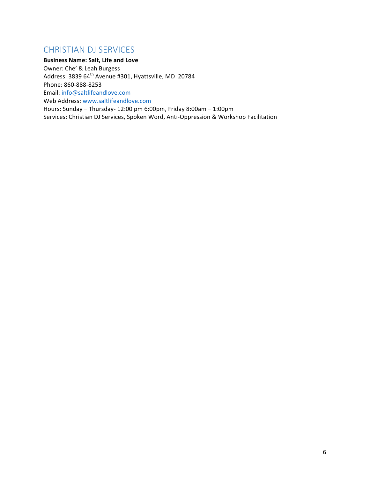### CHRISTIAN DJ SERVICES

**Business Name: Salt, Life and Love** 

Owner: Che' & Leah Burgess

Address: 3839 64<sup>th</sup> Avenue #301, Hyattsville, MD 20784

Phone: 860-888-8253

Email: info@saltlifeandlove.com

Web Address: www.saltlifeandlove.com

Hours: Sunday – Thursday- 12:00 pm 6:00pm, Friday 8:00am – 1:00pm Services: Christian DJ Services, Spoken Word, Anti-Oppression & Workshop Facilitation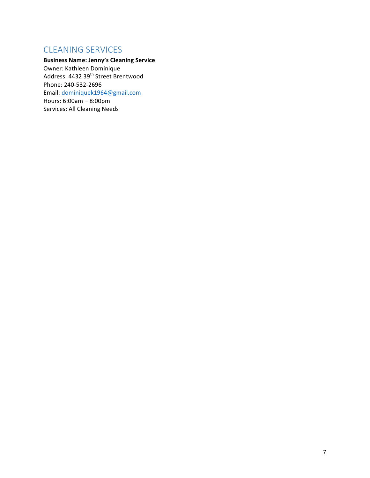### **CLEANING SERVICES**

**Business Name: Jenny's Cleaning Service** Owner: Kathleen Dominique Address: 4432 39<sup>th</sup> Street Brentwood Phone: 240-532-2696 Email: dominiquek1964@gmail.com Hours: 6:00am – 8:00pm Services: All Cleaning Needs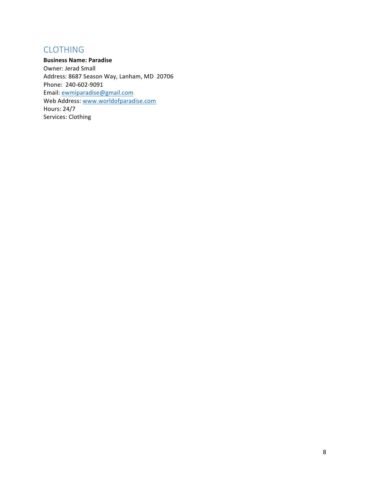### CLOTHING

**Business Name: Paradise** Owner: Jerad Small Address: 8687 Season Way, Lanham, MD 20706 Phone: 240-602-9091 Email: ewmiparadise@gmail.com Web Address: www.worldofparadise.com Hours: 24/7 Services: Clothing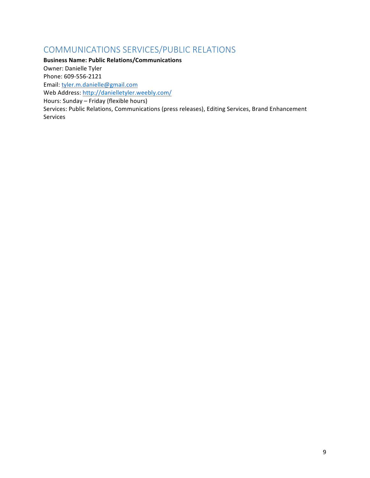### COMMUNICATIONS SERVICES/PUBLIC RELATIONS

**Business Name: Public Relations/Communications** Owner: Danielle Tyler Phone: 609-556-2121 Email: tyler.m.danielle@gmail.com Web Address: http://danielletyler.weebly.com/ Hours: Sunday – Friday (flexible hours) Services: Public Relations, Communications (press releases), Editing Services, Brand Enhancement Services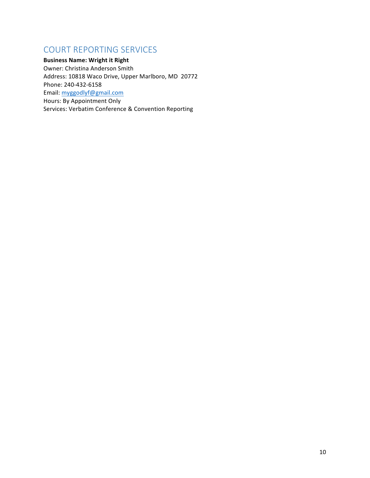### COURT REPORTING SERVICES

**Business Name: Wright it Right** Owner: Christina Anderson Smith Address: 10818 Waco Drive, Upper Marlboro, MD 20772 Phone: 240-432-6158 Email: myggodlyf@gmail.com Hours: By Appointment Only Services: Verbatim Conference & Convention Reporting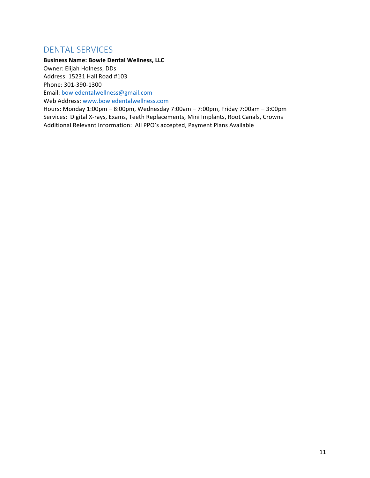### DENTAL SERVICES

**Business Name: Bowie Dental Wellness, LLC** 

Owner: Elijah Holness, DDs Address: 15231 Hall Road #103

Phone: 301-390-1300

Email: bowiedentalwellness@gmail.com

Web Address: www.bowiedentalwellness.com

Hours: Monday 1:00pm - 8:00pm, Wednesday 7:00am - 7:00pm, Friday 7:00am - 3:00pm Services: Digital X-rays, Exams, Teeth Replacements, Mini Implants, Root Canals, Crowns Additional Relevant Information: All PPO's accepted, Payment Plans Available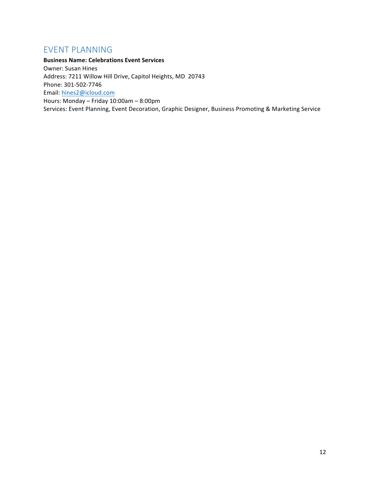### EVENT PLANNING

**Business Name: Celebrations Event Services** Owner: Susan Hines Address: 7211 Willow Hill Drive, Capitol Heights, MD 20743 Phone: 301-502-7746 Email: hines2@icloud.com Hours: Monday – Friday 10:00am – 8:00pm Services: Event Planning, Event Decoration, Graphic Designer, Business Promoting & Marketing Service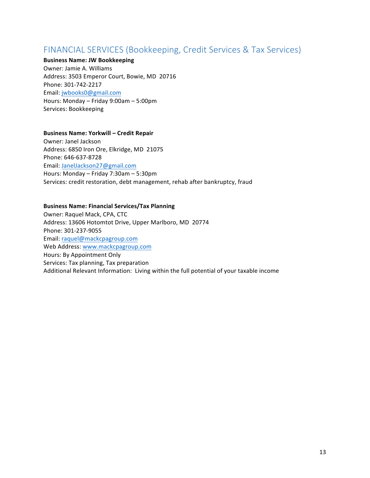### FINANCIAL SERVICES (Bookkeeping, Credit Services & Tax Services)

#### **Business Name: JW Bookkeeping**

Owner: Jamie A. Williams Address: 3503 Emperor Court, Bowie, MD 20716 Phone: 301-742-2217 Email: jwbooks0@gmail.com Hours: Monday – Friday 9:00am – 5:00pm Services: Bookkeeping

#### **Business Name: Yorkwill – Credit Repair**

Owner: Janel Jackson Address: 6850 Iron Ore, Elkridge, MD 21075 Phone: 646-637-8728 Email: JanelJackson27@gmail.com Hours: Monday – Friday 7:30am – 5:30pm Services: credit restoration, debt management, rehab after bankruptcy, fraud

#### **Business Name: Financial Services/Tax Planning**

Owner: Raquel Mack, CPA, CTC Address: 13606 Hotomtot Drive, Upper Marlboro, MD 20774 Phone: 301-237-9055 Email: raquel@mackcpagroup.com Web Address: www.mackcpagroup.com Hours: By Appointment Only Services: Tax planning, Tax preparation Additional Relevant Information: Living within the full potential of your taxable income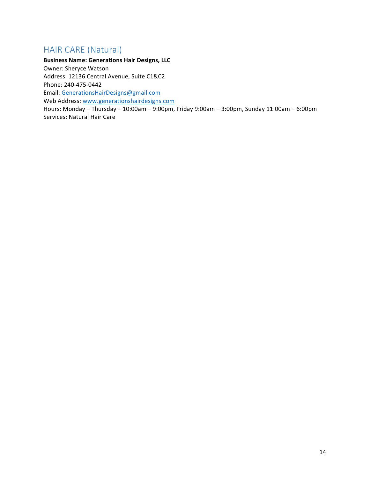### HAIR CARE (Natural)

**Business Name: Generations Hair Designs, LLC** Owner: Sheryce Watson Address: 12136 Central Avenue, Suite C1&C2 Phone: 240-475-0442 Email: GenerationsHairDesigns@gmail.com Web Address: www.generationshairdesigns.com Hours: Monday – Thursday – 10:00am – 9:00pm, Friday 9:00am – 3:00pm, Sunday 11:00am – 6:00pm Services: Natural Hair Care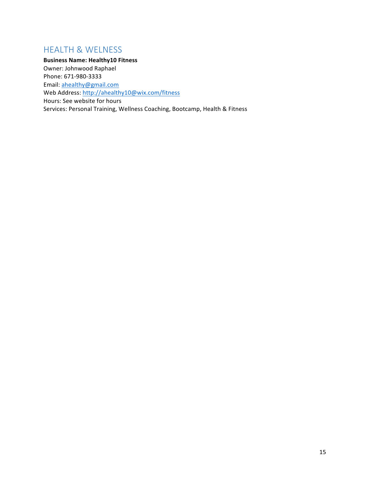### HEALTH & WELNESS

**Business Name: Healthy10 Fitness** Owner: Johnwood Raphael Phone: 671-980-3333 Email: ahealthy@gmail.com Web Address: http://ahealthy10@wix.com/fitness Hours: See website for hours Services: Personal Training, Wellness Coaching, Bootcamp, Health & Fitness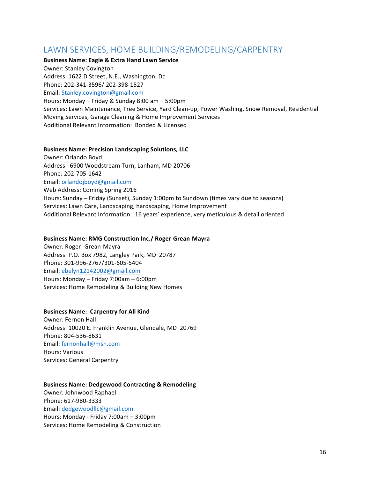### LAWN SERVICES, HOME BUILDING/REMODELING/CARPENTRY

#### **Business Name: Eagle & Extra Hand Lawn Service**

Owner: Stanley Covington

Address: 1622 D Street, N.E., Washington, Dc

Phone: 202-341-3596/ 202-398-1527

Email: Stanley.covington@gmail.com

Hours: Monday – Friday & Sunday 8:00 am – 5:00pm Services: Lawn Maintenance, Tree Service, Yard Clean-up, Power Washing, Snow Removal, Residential Moving Services, Garage Cleaning & Home Improvement Services Additional Relevant Information: Bonded & Licensed

#### **Business Name: Precision Landscaping Solutions, LLC**

Owner: Orlando Boyd Address: 6900 Woodstream Turn, Lanham, MD 20706 Phone: 202-705-1642 Email: orlandojboyd@gmail.com Web Address: Coming Spring 2016 Hours: Sunday – Friday (Sunset), Sunday 1:00pm to Sundown (times vary due to seasons) Services: Lawn Care, Landscaping, hardscaping, Home Improvement Additional Relevant Information: 16 years' experience, very meticulous & detail oriented

#### Business Name: RMG Construction Inc./ Roger-Grean-Mayra

Owner: Roger- Grean-Mayra Address: P.O. Box 7982, Langley Park, MD 20787 Phone: 301-996-2767/301-605-5404 Email: ebelyn12142002@gmail.com Hours: Monday – Friday 7:00am – 6:00pm Services: Home Remodeling & Building New Homes

#### **Business Name: Carpentry for All Kind**

Owner: Fernon Hall Address: 10020 E. Franklin Avenue, Glendale, MD 20769 Phone: 804-536-8631 Email: fernonhall@msn.com Hours: Various! Services: General Carpentry

#### **Business Name: Dedgewood Contracting & Remodeling**

Owner: Johnwood Raphael Phone: 617-980-3333 Email: dedgewoodllc@gmail.com Hours: Monday - Friday 7:00am – 3:00pm Services: Home Remodeling & Construction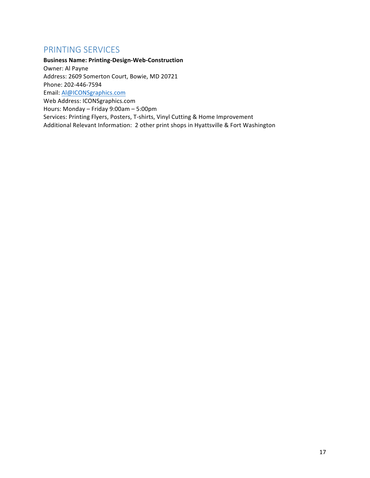### PRINTING SERVICES

**Business Name: Printing-Design-Web-Construction** Owner: Al Payne Address: 2609 Somerton Court, Bowie, MD 20721 Phone: 202-446-7594 Email: Al@ICONSgraphics.com Web Address: ICONSgraphics.com Hours: Monday – Friday 9:00am – 5:00pm Services: Printing Flyers, Posters, T-shirts, Vinyl Cutting & Home Improvement Additional Relevant Information: 2 other print shops in Hyattsville & Fort Washington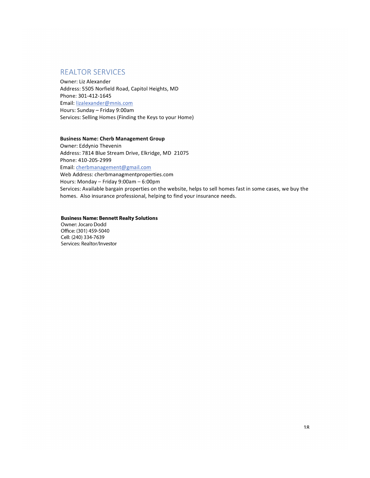#### **REALTOR SERVICES**

Owner: Liz Alexander Address: 5505 Norfield Road, Capitol Heights, MD Phone: 301-412-1645 Email: lizalexander@mnis.com Hours: Sunday - Friday 9:00am Services: Selling Homes (Finding the Keys to your Home)

#### **Business Name: Cherb Management Group**

Owner: Eddynio Thevenin Address: 7814 Blue Stream Drive, Elkridge, MD 21075 Phone: 410-205-2999 Email: cherbmanagement@gmail.com Web Address: cherbmanagmentproperties.com Hours: Monday - Friday 9:00am - 6:00pm Services: Available bargain properties on the website, helps to sell homes fast in some cases, we buy the homes. Also insurance professional, helping to find your insurance needs.

**Business Name: Bennett Realty Solutions** Owner: Jocaro Dodd Office: (301) 459-5040 Cell: (240) 334-7639 Services: Realtor/Investor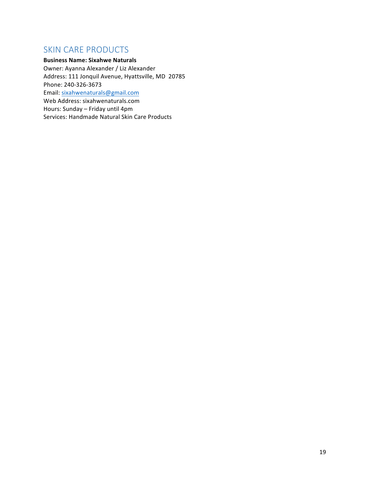### SKIN CARE PRODUCTS

#### **Business Name: Sixahwe Naturals**

Owner: Ayanna Alexander / Liz Alexander Address: 111 Jonquil Avenue, Hyattsville, MD 20785 Phone: 240-326-3673 Email: sixahwenaturals@gmail.com

Web Address: sixahwenaturals.com

Hours: Sunday – Friday until 4pm

Services: Handmade Natural Skin Care Products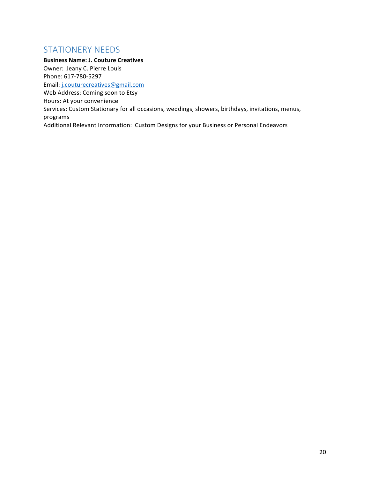### STATIONERY NEEDS

**Business Name: J. Couture Creatives** Owner: Jeany C. Pierre Louis Phone: 617-780-5297 Email: j.couturecreatives@gmail.com Web Address: Coming soon to Etsy Hours: At your convenience Services: Custom Stationary for all occasions, weddings, showers, birthdays, invitations, menus, programs Additional Relevant Information: Custom Designs for your Business or Personal Endeavors